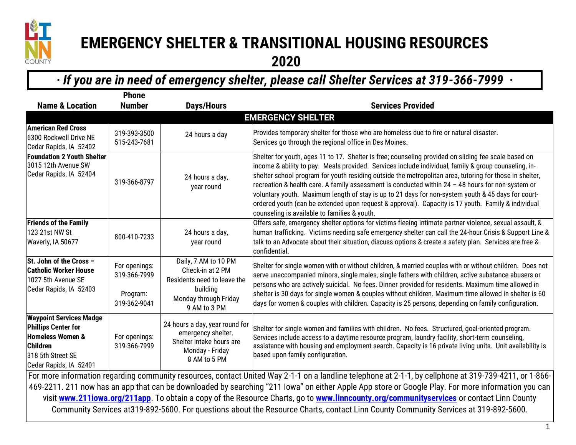

## **EMERGENCY SHELTER & TRANSITIONAL HOUSING RESOURCES 2020**

**·** *If you are in need of emergency shelter, please call Shelter Services at 319-366-7999* **·**

|                                                                                                                                                        | <b>Phone</b>                  |                                                                                                                     |                                                                                                                                                                                                                                                                                                                                                                                                                                                                                                                                                                                                                                                                                          |  |  |
|--------------------------------------------------------------------------------------------------------------------------------------------------------|-------------------------------|---------------------------------------------------------------------------------------------------------------------|------------------------------------------------------------------------------------------------------------------------------------------------------------------------------------------------------------------------------------------------------------------------------------------------------------------------------------------------------------------------------------------------------------------------------------------------------------------------------------------------------------------------------------------------------------------------------------------------------------------------------------------------------------------------------------------|--|--|
| <b>Name &amp; Location</b>                                                                                                                             | <b>Number</b>                 | <b>Days/Hours</b>                                                                                                   | <b>Services Provided</b>                                                                                                                                                                                                                                                                                                                                                                                                                                                                                                                                                                                                                                                                 |  |  |
| <b>EMERGENCY SHELTER</b>                                                                                                                               |                               |                                                                                                                     |                                                                                                                                                                                                                                                                                                                                                                                                                                                                                                                                                                                                                                                                                          |  |  |
| American Red Cross<br>6300 Rockwell Drive NE<br>Cedar Rapids, IA 52402                                                                                 | 319-393-3500<br>515-243-7681  | 24 hours a day                                                                                                      | Provides temporary shelter for those who are homeless due to fire or natural disaster.<br>Services go through the regional office in Des Moines.                                                                                                                                                                                                                                                                                                                                                                                                                                                                                                                                         |  |  |
| <b>Foundation 2 Youth Shelter</b><br>3015 12th Avenue SW<br>Cedar Rapids, IA 52404                                                                     | 319-366-8797                  | 24 hours a day,<br>year round                                                                                       | Shelter for youth, ages 11 to 17. Shelter is free; counseling provided on sliding fee scale based on<br>income & ability to pay. Meals provided. Services include individual, family & group counseling, in-<br>shelter school program for youth residing outside the metropolitan area, tutoring for those in shelter,<br>recreation & health care. A family assessment is conducted within 24 - 48 hours for non-system or<br>voluntary youth. Maximum length of stay is up to 21 days for non-system youth & 45 days for court-<br>ordered youth (can be extended upon request & approval). Capacity is 17 youth. Family & individual<br>counseling is available to families & youth. |  |  |
| <b>Friends of the Family</b><br>123 21st NW St<br>Waverly, IA 50677                                                                                    | 800-410-7233                  | 24 hours a day,<br>year round                                                                                       | Offers safe, emergency shelter options for victims fleeing intimate partner violence, sexual assault, &<br>human trafficking. Victims needing safe emergency shelter can call the 24-hour Crisis & Support Line &<br>talk to an Advocate about their situation, discuss options & create a safety plan. Services are free &<br>confidential.                                                                                                                                                                                                                                                                                                                                             |  |  |
| St. John of the Cross -<br><b>Catholic Worker House</b><br>1027 5th Avenue SE<br>Cedar Rapids, IA 52403                                                | For openings:<br>319-366-7999 | Daily, 7 AM to 10 PM<br>Check-in at 2 PM<br>Residents need to leave the                                             | Shelter for single women with or without children, & married couples with or without children. Does not<br>serve unaccompanied minors, single males, single fathers with children, active substance abusers or<br>persons who are actively suicidal. No fees. Dinner provided for residents. Maximum time allowed in<br>shelter is 30 days for single women & couples without children. Maximum time allowed in shelter is 60<br>days for women & couples with children. Capacity is 25 persons, depending on family configuration.                                                                                                                                                      |  |  |
|                                                                                                                                                        | Program:<br>319-362-9041      | building<br>Monday through Friday<br>9 AM to 3 PM                                                                   |                                                                                                                                                                                                                                                                                                                                                                                                                                                                                                                                                                                                                                                                                          |  |  |
| <b>Waypoint Services Madge</b><br>Phillips Center for<br><b>Homeless Women &amp;</b><br>Children<br>318 5th Street SE<br>Cedar Rapids, IA 52401        | For openings:<br>319-366-7999 | 24 hours a day, year round for<br>emergency shelter.<br>Shelter intake hours are<br>Monday - Friday<br>8 AM to 5 PM | Shelter for single women and families with children. No fees. Structured, goal-oriented program.<br>Services include access to a daytime resource program, laundry facility, short-term counseling,<br>assistance with housing and employment search. Capacity is 16 private living units. Unit availability is<br>based upon family configuration.                                                                                                                                                                                                                                                                                                                                      |  |  |
| For more information regarding community resources, contact United Way 2-1-1 on a landline telephone at 2-1-1, by cellphone at 319-739-4211, or 1-866- |                               |                                                                                                                     |                                                                                                                                                                                                                                                                                                                                                                                                                                                                                                                                                                                                                                                                                          |  |  |
| 469-2211. 211 now has an app that can be downloaded by searching "211 Iowa" on either Apple App store or Google Play. For more information you can     |                               |                                                                                                                     |                                                                                                                                                                                                                                                                                                                                                                                                                                                                                                                                                                                                                                                                                          |  |  |
| visit www.211iowa.org/211app. To obtain a copy of the Resource Charts, go to www.linncounty.org/communityservices or contact Linn County               |                               |                                                                                                                     |                                                                                                                                                                                                                                                                                                                                                                                                                                                                                                                                                                                                                                                                                          |  |  |

Community Services at319-892-5600. For questions about the Resource Charts, contact Linn County Community Services at 319-892-5600.